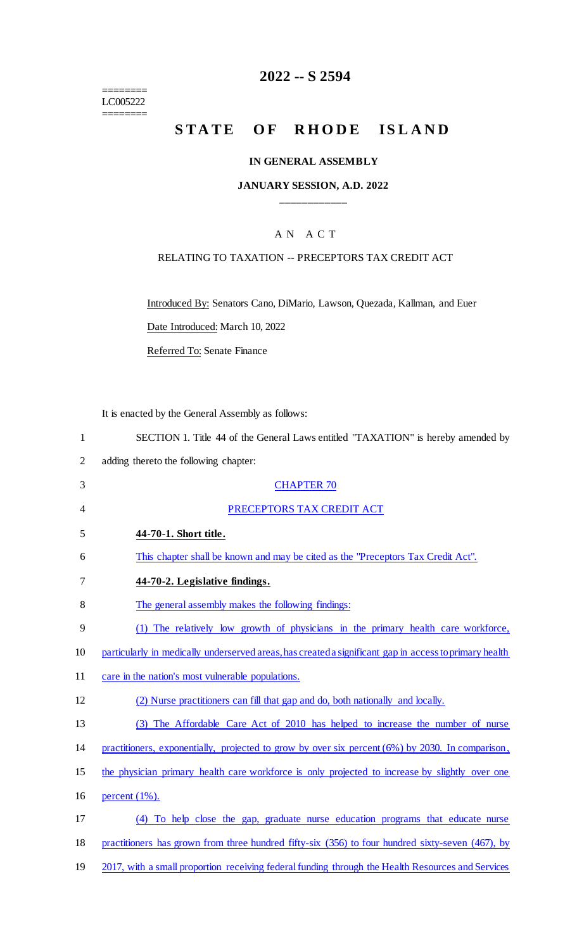======== LC005222 ========

## **2022 -- S 2594**

## STATE OF RHODE ISLAND

### **IN GENERAL ASSEMBLY**

### **JANUARY SESSION, A.D. 2022 \_\_\_\_\_\_\_\_\_\_\_\_**

## A N A C T

#### RELATING TO TAXATION -- PRECEPTORS TAX CREDIT ACT

Introduced By: Senators Cano, DiMario, Lawson, Quezada, Kallman, and Euer

Date Introduced: March 10, 2022

Referred To: Senate Finance

It is enacted by the General Assembly as follows:

|  |  | SECTION 1. Title 44 of the General Laws entitled "TAXATION" is hereby amended by |  |
|--|--|----------------------------------------------------------------------------------|--|
|  |  |                                                                                  |  |

2 adding thereto the following chapter:

| 3              | <b>CHAPTER 70</b>                                                                                      |
|----------------|--------------------------------------------------------------------------------------------------------|
| $\overline{4}$ | PRECEPTORS TAX CREDIT ACT                                                                              |
| 5              | 44-70-1. Short title.                                                                                  |
| 6              | This chapter shall be known and may be cited as the "Preceptors Tax Credit Act".                       |
| 7              | 44-70-2. Legislative findings.                                                                         |
| 8              | The general assembly makes the following findings:                                                     |
| 9              | (1) The relatively low growth of physicians in the primary health care workforce,                      |
| 10             | particularly in medically underserved areas, has created a significant gap in access to primary health |
| 11             | care in the nation's most vulnerable populations.                                                      |
| 12             | (2) Nurse practitioners can fill that gap and do, both nationally and locally.                         |
| 13             | (3) The Affordable Care Act of 2010 has helped to increase the number of nurse                         |
| 14             | practitioners, exponentially, projected to grow by over six percent $(6%)$ by 2030. In comparison,     |
| 15             | the physician primary health care workforce is only projected to increase by slightly over one         |
| 16             | percent $(1\%)$ .                                                                                      |
| 17             | (4) To help close the gap, graduate nurse education programs that educate nurse                        |
| 18             | practitioners has grown from three hundred fifty-six (356) to four hundred sixty-seven (467), by       |
| 19             | 2017, with a small proportion receiving federal funding through the Health Resources and Services      |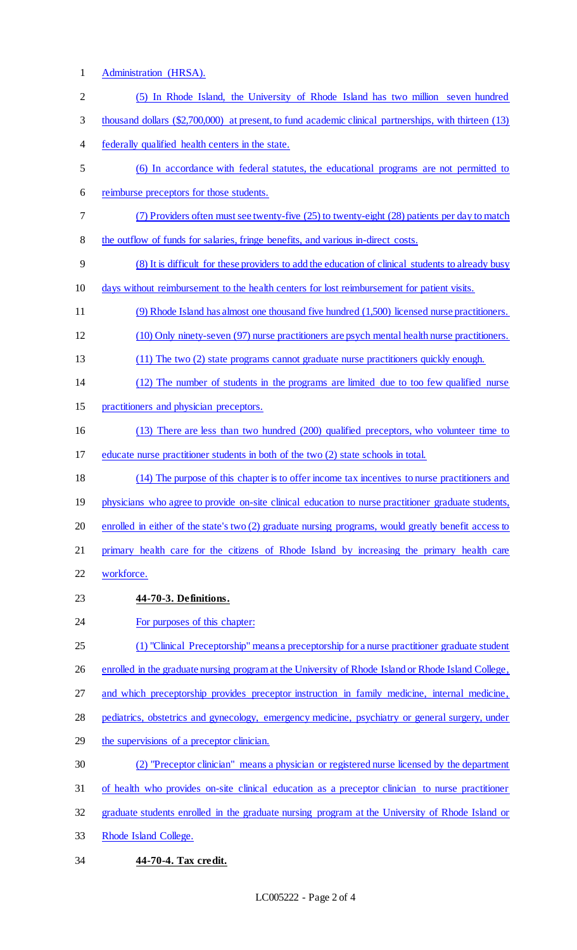# Administration (HRSA). (5) In Rhode Island, the University of Rhode Island has two million seven hundred

- thousand dollars (\$2,700,000) at present, to fund academic clinical partnerships, with thirteen (13)
- federally qualified health centers in the state.
- (6) In accordance with federal statutes, the educational programs are not permitted to
- reimburse preceptors for those students.
- (7) Providers often must see twenty-five (25) to twenty-eight (28) patients per day to match the outflow of funds for salaries, fringe benefits, and various in-direct costs.
- (8) It is difficult for these providers to add the education of clinical students to already busy
- days without reimbursement to the health centers for lost reimbursement for patient visits.
- (9) Rhode Island has almost one thousand five hundred (1,500) licensed nurse practitioners.
- (10) Only ninety-seven (97) nurse practitioners are psych mental health nurse practitioners.
- (11) The two (2) state programs cannot graduate nurse practitioners quickly enough.
- (12) The number of students in the programs are limited due to too few qualified nurse
- practitioners and physician preceptors.
- (13) There are less than two hundred (200) qualified preceptors, who volunteer time to
- educate nurse practitioner students in both of the two (2) state schools in total.
- (14) The purpose of this chapter is to offer income tax incentives to nurse practitioners and 19 physicians who agree to provide on-site clinical education to nurse practitioner graduate students, enrolled in either of the state's two (2) graduate nursing programs, would greatly benefit access to primary health care for the citizens of Rhode Island by increasing the primary health care
- workforce.
- **44-70-3. Definitions.**
- **For purposes of this chapter:**
- (1) "Clinical Preceptorship" means a preceptorship for a nurse practitioner graduate student
- 26 enrolled in the graduate nursing program at the University of Rhode Island or Rhode Island College,
- and which preceptorship provides preceptor instruction in family medicine, internal medicine,
- pediatrics, obstetrics and gynecology, emergency medicine, psychiatry or general surgery, under
- 29 the supervisions of a preceptor clinician.
- (2) "Preceptor clinician" means a physician or registered nurse licensed by the department
- of health who provides on-site clinical education as a preceptor clinician to nurse practitioner
- graduate students enrolled in the graduate nursing program at the University of Rhode Island or
- Rhode Island College.
- **44-70-4. Tax credit.**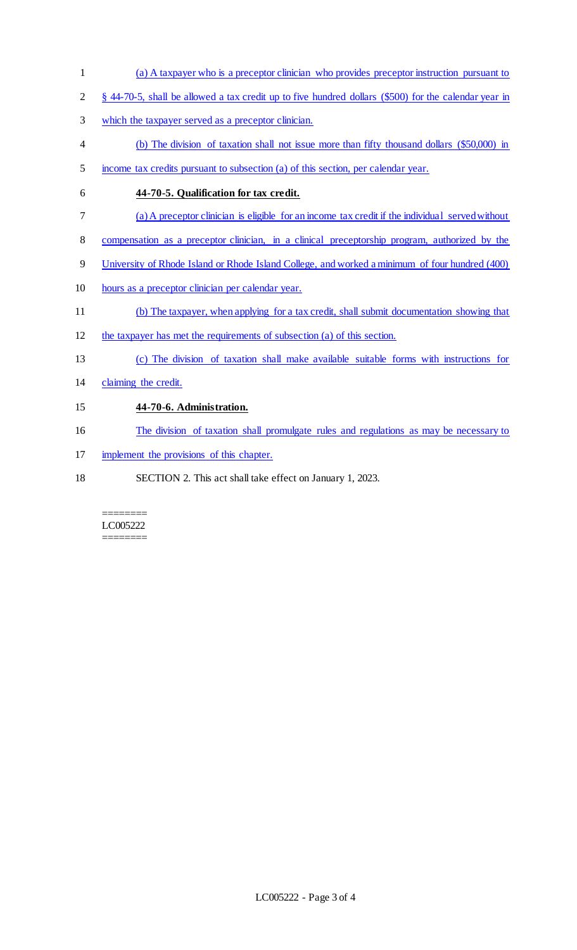- (a) A taxpayer who is a preceptor clinician who provides preceptor instruction pursuant to
- § 44-70-5, shall be allowed a tax credit up to five hundred dollars (\$500) for the calendar year in
- which the taxpayer served as a preceptor clinician.
- (b) The division of taxation shall not issue more than fifty thousand dollars (\$50,000) in
- income tax credits pursuant to subsection (a) of this section, per calendar year.
- **44-70-5. Qualification for tax credit.**
- (a) A preceptor clinician is eligible for an income tax credit if the individual served without
- compensation as a preceptor clinician, in a clinical preceptorship program, authorized by the
- University of Rhode Island or Rhode Island College, and worked a minimum of four hundred (400)
- hours as a preceptor clinician per calendar year.
- (b) The taxpayer, when applying for a tax credit, shall submit documentation showing that
- the taxpayer has met the requirements of subsection (a) of this section.
- (c) The division of taxation shall make available suitable forms with instructions for
- claiming the credit.

## **44-70-6. Administration.**

- The division of taxation shall promulgate rules and regulations as may be necessary to
- implement the provisions of this chapter.
- SECTION 2. This act shall take effect on January 1, 2023.

#### ======== LC005222 ========